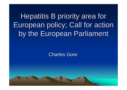Hepatitis B priority area for European policy; Call for action European policy; Call for action by the European Parliament

**Charles Gore**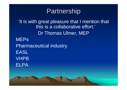# Partnership

'It is with great pleasure that I mention that this is a collaborative effort.' Dr Thomas Ulmer, MEP **MEP<sub>S</sub>** Pharmaceutical industry EASL VHPBELPA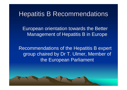#### Hepatitis B Recommendations

European orientation towards the Better Management of Hepatitis B in Europe

Recommendations of the Hepatitis B expert group chaired by Dr T. Ulmer, Member of the European Parliament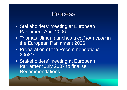#### **Process**

- Stakeholders' meeting at European Parliament April 2006
- Thomas Ulmer launches a *call for action* in the European Parliament 2006
- Preparation of the Recommendations 2006/7
- Stakeholders' meeting at European Parliament July 2007 to finalise **Recommendations**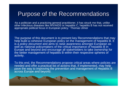#### Purpose of the Recommendations

'As a politician and a practicing general practitioner, it has struck me that, unlike other infectious diseases like HIV/AIDS or hepatitis C, hepatitis B has not received appropriate political focus in European policy.' Thomas Ulmer

The purpose of this document is to present key Recommendations that may help build a cohesive European policy on the management of hepatitis B. It is a *policy document* and aims to raise awareness amongst European as well as national policymakers of the critical importance of hepatitis B in Europe and beyond and encourage all stakeholders to take ownership for the better management of hepatitis B within their respective spheres of activity.

To this end, the Recommendations propose critical areas where policies are needed and offer a practical list of actions that, if implemented, may help pave the way to improving the prevention and management of Hepatitis B across Europe and beyond.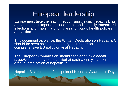## European leadership

Europe must take the lead in recognising chronic hepatitis B as one of the most important blood-borne and sexually transmitted infections and make it a priority area for public health policies and action.

This document as well as the Written Declaration on Hepatitis C should be seen as complementary documents for a comprehensive EU policy on viral Hepatitis

The European Commission should set *clear public health objectives* that may be quantified at each country level for the gradual eradication of hepatitis B

Hepatitis B should be a focal point of Hepatitis Awareness Day 2008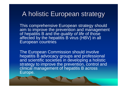# A holistic European strategy

This comprehensive European strategy should aim to improve the prevention and management of hepatitis B and the *quality of life* of those affected by the hepatitis B virus (HBV) in all European countries

The European Commission should involve hepatitis B advocacy groups and professional and scientific societies in developing a holistic strategy to improve the prevention, control and clinical management of hepatitis B across Europe.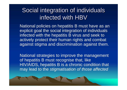### Social integration of individuals infected with  ${\sf HBV}$

National policies on hepatitis B must have as an explicit goal the social integration of individuals infected with the hepatitis B virus and seek to actively protect their human rights and combat against stigma and discrimination against them.

National strategies to improve the management of hepatitis B must recognise that, like HIV/AIDS, hepatitis B is a chronic condition that may lead to the *stigmatisation of those affected*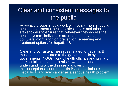### Clear and consistent messages to the public

Advocacy groups should work with policymakers, public health departments, health professionals and other stakeholders to ensure that, wherever they access the health system, individuals are offered *the same, complete information* on prevention, screening and treatment options for hepatitis B

Clear and consistent messages related to hepatitis B must be communicated to the general public by governments, NGOs, public health officials and primary care clinicians in order to raise awareness and understanding of the disease and overturn misconceptions about Hepatitis B and to eliminate Hepatitis B and liver cancer as a serious health problem.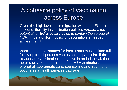### A cohesive policy of vaccination across Europe

Given the high levels of immigration within the EU, this lack of uniformity in vaccination policies *threatens the potential for EU-wide strategies to contain the spread of HBV*. Thus a uniform policy of vaccination is needed across the EU

Vaccination programmes for immigrants must include full follow-up for all persons vaccinated. In particular, if the response to vaccination is negative in an individual, then he or she should be screened for HBV antibodies and offered all appropriate care, counselling and treatment options as a health services package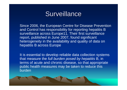

Since 2006, the European Centre for Disease Prevention and Control has responsibility for reporting hepatitis B surveillance across Europe11. Their first surveillance report, published in June 2007, found significant heterogeneity in the availability and quality of data on hepatitis B across Europe

It is essential to develop reliable data collection systems that measure the *full burden posed by hepatitis* B, in terms of acute and chronic disease, so that appropriate public health measures may be taken to reduce this burden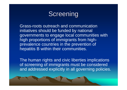# Screening

Grass-roots outreach and communication initiatives should be funded by national governments to engage local communities with high proportions of immigrants from highprevalence countries in the prevention of hepatitis B within their communities.

The human rights and civic liberties implications of screening of immigrants must be considered and addressed explicitly in all governing policies.